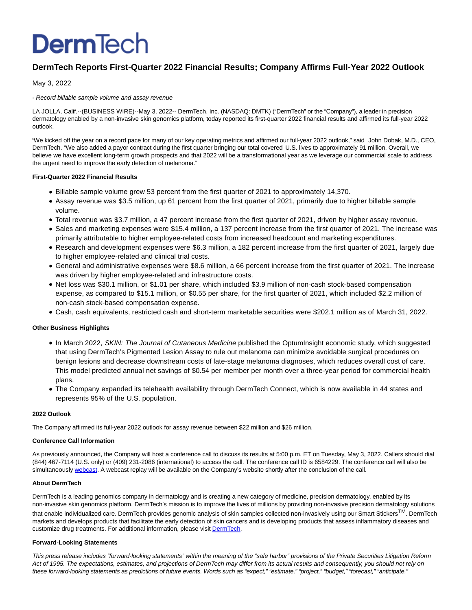# **DermTech**

# **DermTech Reports First-Quarter 2022 Financial Results; Company Affirms Full-Year 2022 Outlook**

May 3, 2022

### - Record billable sample volume and assay revenue

LA JOLLA, Calif.--(BUSINESS WIRE)--May 3, 2022-- DermTech, Inc. (NASDAQ: DMTK) ("DermTech" or the "Company"), a leader in precision dermatology enabled by a non-invasive skin genomics platform, today reported its first-quarter 2022 financial results and affirmed its full-year 2022 outlook.

"We kicked off the year on a record pace for many of our key operating metrics and affirmed our full-year 2022 outlook," said John Dobak, M.D., CEO, DermTech. "We also added a payor contract during the first quarter bringing our total covered U.S. lives to approximately 91 million. Overall, we believe we have excellent long-term growth prospects and that 2022 will be a transformational year as we leverage our commercial scale to address the urgent need to improve the early detection of melanoma."

### **First-Quarter 2022 Financial Results**

- Billable sample volume grew 53 percent from the first quarter of 2021 to approximately 14,370.
- Assay revenue was \$3.5 million, up 61 percent from the first quarter of 2021, primarily due to higher billable sample volume.
- Total revenue was \$3.7 million, a 47 percent increase from the first quarter of 2021, driven by higher assay revenue.
- Sales and marketing expenses were \$15.4 million, a 137 percent increase from the first quarter of 2021. The increase was primarily attributable to higher employee-related costs from increased headcount and marketing expenditures.
- Research and development expenses were \$6.3 million, a 182 percent increase from the first quarter of 2021, largely due to higher employee-related and clinical trial costs.
- General and administrative expenses were \$8.6 million, a 66 percent increase from the first quarter of 2021. The increase was driven by higher employee-related and infrastructure costs.
- Net loss was \$30.1 million, or \$1.01 per share, which included \$3.9 million of non-cash stock-based compensation expense, as compared to \$15.1 million, or \$0.55 per share, for the first quarter of 2021, which included \$2.2 million of non-cash stock-based compensation expense.
- Cash, cash equivalents, restricted cash and short-term marketable securities were \$202.1 million as of March 31, 2022.

## **Other Business Highlights**

- In March 2022, SKIN: The Journal of Cutaneous Medicine published the OptumInsight economic study, which suggested that using DermTech's Pigmented Lesion Assay to rule out melanoma can minimize avoidable surgical procedures on benign lesions and decrease downstream costs of late-stage melanoma diagnoses, which reduces overall cost of care. This model predicted annual net savings of \$0.54 per member per month over a three-year period for commercial health plans.
- The Company expanded its telehealth availability through DermTech Connect, which is now available in 44 states and represents 95% of the U.S. population.

#### **2022 Outlook**

The Company affirmed its full-year 2022 outlook for assay revenue between \$22 million and \$26 million.

#### **Conference Call Information**

As previously announced, the Company will host a conference call to discuss its results at 5:00 p.m. ET on Tuesday, May 3, 2022. Callers should dial (844) 467-7114 (U.S. only) or (409) 231-2086 (international) to access the call. The conference call ID is 6584229. The conference call will also be simultaneously [webcast.](https://cts.businesswire.com/ct/CT?id=smartlink&url=https%3A%2F%2Finvestors.dermtech.com%2Fnews-events%2Fevents&esheet=52706674&newsitemid=20220503006051&lan=en-US&anchor=webcast&index=1&md5=b1e8caf5ab39d7e41ef739a0476af660) A webcast replay will be available on the Company's website shortly after the conclusion of the call.

#### **About DermTech**

DermTech is a leading genomics company in dermatology and is creating a new category of medicine, precision dermatology, enabled by its non-invasive skin genomics platform. DermTech's mission is to improve the lives of millions by providing non-invasive precision dermatology solutions that enable individualized care. DermTech provides genomic analysis of skin samples collected non-invasively using our Smart Stickers<sup>TM</sup>. DermTech markets and develops products that facilitate the early detection of skin cancers and is developing products that assess inflammatory diseases and customize drug treatments. For additional information, please visi[t DermTech.](https://cts.businesswire.com/ct/CT?id=smartlink&url=http%3A%2F%2Fwww.dermtech.com%2F&esheet=52706674&newsitemid=20220503006051&lan=en-US&anchor=DermTech&index=2&md5=4bce3b13d5cb7ab2eca41e60c95e0ba9)

#### **Forward-Looking Statements**

This press release includes "forward-looking statements" within the meaning of the "safe harbor" provisions of the Private Securities Litigation Reform Act of 1995. The expectations, estimates, and projections of DermTech may differ from its actual results and consequently, you should not rely on these forward-looking statements as predictions of future events. Words such as "expect," "estimate," "project," "budget," "forecast," "anticipate,"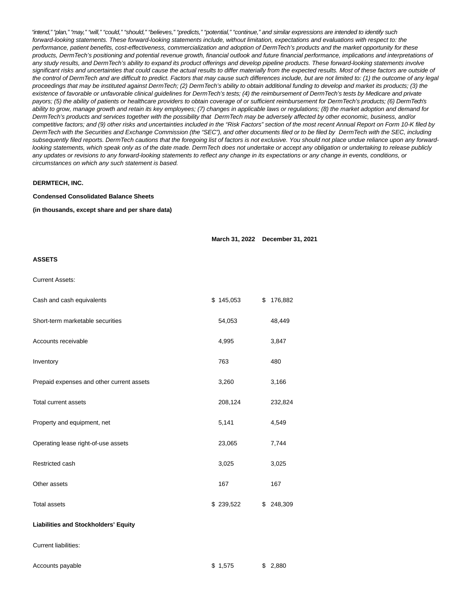"intend," "plan," "may," "will," "could," "should," "believes," "predicts," "potential," "continue," and similar expressions are intended to identify such forward-looking statements. These forward-looking statements include, without limitation, expectations and evaluations with respect to: the performance, patient benefits, cost-effectiveness, commercialization and adoption of DermTech's products and the market opportunity for these products, DermTech's positioning and potential revenue growth, financial outlook and future financial performance, implications and interpretations of any study results, and DermTech's ability to expand its product offerings and develop pipeline products. These forward-looking statements involve significant risks and uncertainties that could cause the actual results to differ materially from the expected results. Most of these factors are outside of the control of DermTech and are difficult to predict. Factors that may cause such differences include, but are not limited to: (1) the outcome of any legal proceedings that may be instituted against DermTech; (2) DermTech's ability to obtain additional funding to develop and market its products; (3) the existence of favorable or unfavorable clinical guidelines for DermTech's tests; (4) the reimbursement of DermTech's tests by Medicare and private payors; (5) the ability of patients or healthcare providers to obtain coverage of or sufficient reimbursement for DermTech's products; (6) DermTech's ability to grow, manage growth and retain its key employees; (7) changes in applicable laws or regulations; (8) the market adoption and demand for DermTech's products and services together with the possibility that DermTech may be adversely affected by other economic, business, and/or competitive factors; and (9) other risks and uncertainties included in the "Risk Factors" section of the most recent Annual Report on Form 10-K filed by DermTech with the Securities and Exchange Commission (the "SEC"), and other documents filed or to be filed by DermTech with the SEC, including subsequently filed reports. DermTech cautions that the foregoing list of factors is not exclusive. You should not place undue reliance upon any forwardlooking statements, which speak only as of the date made. DermTech does not undertake or accept any obligation or undertaking to release publicly any updates or revisions to any forward-looking statements to reflect any change in its expectations or any change in events, conditions, or circumstances on which any such statement is based.

#### **DERMTECH, INC.**

#### **Condensed Consolidated Balance Sheets**

**(in thousands, except share and per share data)**

**March 31, 2022 December 31, 2021**

#### **ASSETS**

Current Assets:

| Cash and cash equivalents                   | \$145,053 | \$176,882     |
|---------------------------------------------|-----------|---------------|
| Short-term marketable securities            | 54,053    | 48,449        |
| Accounts receivable                         | 4,995     | 3,847         |
| Inventory                                   | 763       | 480           |
| Prepaid expenses and other current assets   | 3,260     | 3,166         |
| <b>Total current assets</b>                 | 208,124   | 232,824       |
| Property and equipment, net                 | 5,141     | 4,549         |
| Operating lease right-of-use assets         | 23,065    | 7,744         |
| Restricted cash                             | 3,025     | 3,025         |
| Other assets                                | 167       | 167           |
| <b>Total assets</b>                         | \$239,522 | \$<br>248,309 |
| <b>Liabilities and Stockholders' Equity</b> |           |               |
| <b>Current liabilities:</b>                 |           |               |

| Accounts payable | \$1,575 | \$2.880 |
|------------------|---------|---------|
|                  |         |         |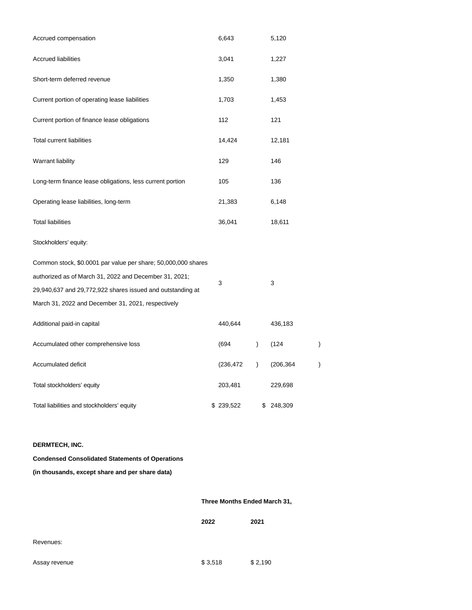| Accrued compensation                                          |  | 6,643      |                        | 5,120      |  |  |
|---------------------------------------------------------------|--|------------|------------------------|------------|--|--|
| <b>Accrued liabilities</b>                                    |  | 3,041      |                        | 1,227      |  |  |
| Short-term deferred revenue                                   |  | 1,350      |                        | 1,380      |  |  |
| Current portion of operating lease liabilities                |  | 1,703      |                        | 1,453      |  |  |
| Current portion of finance lease obligations                  |  | 112        |                        | 121        |  |  |
| <b>Total current liabilities</b>                              |  | 14,424     |                        | 12,181     |  |  |
| <b>Warrant liability</b>                                      |  | 129        |                        | 146        |  |  |
| Long-term finance lease obligations, less current portion     |  | 105        |                        | 136        |  |  |
| Operating lease liabilities, long-term                        |  | 21,383     |                        | 6,148      |  |  |
| <b>Total liabilities</b>                                      |  | 36,041     |                        | 18,611     |  |  |
| Stockholders' equity:                                         |  |            |                        |            |  |  |
| Common stock, \$0.0001 par value per share; 50,000,000 shares |  |            |                        |            |  |  |
| authorized as of March 31, 2022 and December 31, 2021;        |  | 3          |                        | 3          |  |  |
| 29,940,637 and 29,772,922 shares issued and outstanding at    |  |            |                        |            |  |  |
| March 31, 2022 and December 31, 2021, respectively            |  |            |                        |            |  |  |
| Additional paid-in capital                                    |  | 440,644    |                        | 436,183    |  |  |
| Accumulated other comprehensive loss                          |  | (694       | $\mathcal{E}$          | (124)      |  |  |
| Accumulated deficit                                           |  | (236, 472) | $\mathcal{C}^{\prime}$ | (206, 364) |  |  |
| Total stockholders' equity                                    |  | 203,481    |                        | 229,698    |  |  |
| Total liabilities and stockholders' equity                    |  | \$239,522  | \$                     | 248,309    |  |  |
|                                                               |  |            |                        |            |  |  |

## **DERMTECH, INC.**

## **Condensed Consolidated Statements of Operations**

## **(in thousands, except share and per share data)**

## **Three Months Ended March 31,**

| 2021<br>2022 |  |
|--------------|--|
|--------------|--|

| Assay revenue |  |
|---------------|--|
|---------------|--|

Assay revenue **\$ 3,518** \$ 2,190